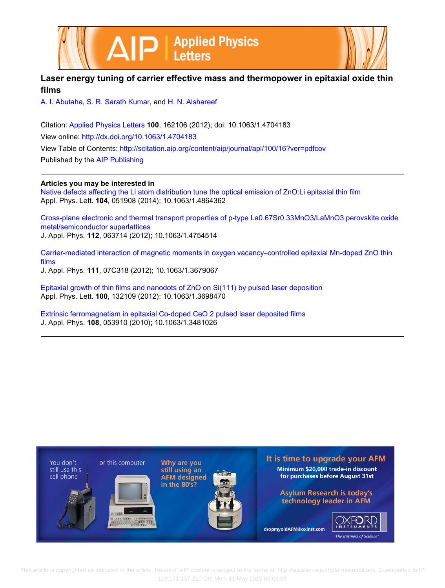

## **Laser energy tuning of carrier effective mass and thermopower in epitaxial oxide thin films**

[A. I. Abutaha,](http://scitation.aip.org/search?value1=A.+I.+Abutaha&option1=author) [S. R. Sarath Kumar,](http://scitation.aip.org/search?value1=S.+R.+Sarath+Kumar&option1=author) and [H. N. Alshareef](http://scitation.aip.org/search?value1=H.+N.+Alshareef&option1=author)

Citation: [Applied Physics Letters](http://scitation.aip.org/content/aip/journal/apl?ver=pdfcov) **100**, 162106 (2012); doi: 10.1063/1.4704183 View online: <http://dx.doi.org/10.1063/1.4704183> View Table of Contents: <http://scitation.aip.org/content/aip/journal/apl/100/16?ver=pdfcov> Published by the [AIP Publishing](http://scitation.aip.org/content/aip?ver=pdfcov)

**Articles you may be interested in**

[Native defects affecting the Li atom distribution tune the optical emission of ZnO:Li epitaxial thin film](http://scitation.aip.org/content/aip/journal/apl/104/5/10.1063/1.4864362?ver=pdfcov) Appl. Phys. Lett. **104**, 051908 (2014); 10.1063/1.4864362

[Cross-plane electronic and thermal transport properties of p-type La0.67Sr0.33MnO3/LaMnO3 perovskite oxide](http://scitation.aip.org/content/aip/journal/jap/112/6/10.1063/1.4754514?ver=pdfcov) [metal/semiconductor superlattices](http://scitation.aip.org/content/aip/journal/jap/112/6/10.1063/1.4754514?ver=pdfcov) J. Appl. Phys. **112**, 063714 (2012); 10.1063/1.4754514

[Carrier-mediated interaction of magnetic moments in oxygen vacancy–controlled epitaxial Mn-doped ZnO thin](http://scitation.aip.org/content/aip/journal/jap/111/7/10.1063/1.3679067?ver=pdfcov) [films](http://scitation.aip.org/content/aip/journal/jap/111/7/10.1063/1.3679067?ver=pdfcov) J. Appl. Phys. **111**, 07C318 (2012); 10.1063/1.3679067

[Epitaxial growth of thin films and nanodots of ZnO on Si\(111\) by pulsed laser deposition](http://scitation.aip.org/content/aip/journal/apl/100/13/10.1063/1.3698470?ver=pdfcov) Appl. Phys. Lett. **100**, 132109 (2012); 10.1063/1.3698470

[Extrinsic ferromagnetism in epitaxial Co-doped CeO 2 pulsed laser deposited films](http://scitation.aip.org/content/aip/journal/jap/108/5/10.1063/1.3481026?ver=pdfcov) J. Appl. Phys. **108**, 053910 (2010); 10.1063/1.3481026



 This article is copyrighted as indicated in the article. Reuse of AIP content is subject to the terms at: http://scitation.aip.org/termsconditions. Downloaded to IP: 109.171.137.210 On: Mon, 11 May 2015 06:08:09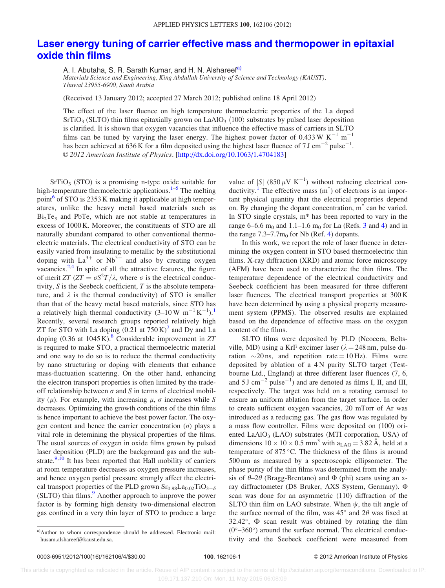## [Laser energy tuning of carrier effective mass and thermopower in epitaxial](http://dx.doi.org/10.1063/1.4704183) [oxide thin films](http://dx.doi.org/10.1063/1.4704183)

A. I. Abutaha, S. R. Sarath Kumar, and H. N. Alshareef<sup>a)</sup>

Materials Science and Engineering, King Abdullah University of Science and Technology (KAUST), Thuwal 23955-6900, Saudi Arabia

(Received 13 January 2012; accepted 27 March 2012; published online 18 April 2012)

The effect of the laser fluence on high temperature thermoelectric properties of the La doped  $SrTiO<sub>3</sub> (SLTO)$  thin films epitaxially grown on LaAlO<sub>3</sub>  $\langle 100 \rangle$  substrates by pulsed laser deposition is clarified. It is shown that oxygen vacancies that influence the effective mass of carriers in SLTO films can be tuned by varying the laser energy. The highest power factor of 0.433 W K<sup>-1</sup> m<sup>-1</sup> has been achieved at 636 K for a film deposited using the highest laser fluence of 7 J cm<sup>-2</sup> pulse<sup>-1</sup>. V<sup>C</sup> 2012 American Institute of Physics. [[http://dx.doi.org/10.1063/1.4704183\]](http://dx.doi.org/10.1063/1.4704183)

 $SrTiO<sub>3</sub>$  (STO) is a promising n-type oxide suitable for high-temperature thermoelectric applications. $1-5$  $1-5$  $1-5$  The melting point<sup>[6](#page-4-0)</sup> of STO is 2353 K making it applicable at high temperatures, unlike the heavy metal based materials such as Bi2Te3 and PbTe, which are not stable at temperatures in excess of 1000 K. Moreover, the constituents of STO are all naturally abundant compared to other conventional thermoelectric materials. The electrical conductivity of STO can be easily varied from insulating to metallic by the substitutional doping with  $La^{3+}$  or  $Nb^{5+}$  and also by creating oxygen vacancies. $2.4$  In spite of all the attractive features, the figure of merit ZT (ZT =  $\sigma S^2T/\lambda$ , where  $\sigma$  is the electrical conductivity,  $S$  is the Seebeck coefficient,  $T$  is the absolute temperature, and  $\lambda$  is the thermal conductivity) of STO is smaller than that of the heavy metal based materials, since STO has a relatively high thermal conductivity  $(3-10 \,\text{W m}^{-1} \text{K}^{-1})$  $(3-10 \,\text{W m}^{-1} \text{K}^{-1})$  $(3-10 \,\text{W m}^{-1} \text{K}^{-1})$ . Recently, several research groups reported relatively high ZT for STO with La doping  $(0.21 \text{ at } 750 \text{ K})^7$  $(0.21 \text{ at } 750 \text{ K})^7$  $(0.21 \text{ at } 750 \text{ K})^7$  and Dy and La doping  $(0.36$  at  $1045 \text{ K})$ .<sup>[8](#page-4-0)</sup> Considerable improvement in ZT is required to make STO, a practical thermoelectric material and one way to do so is to reduce the thermal conductivity by nano structuring or doping with elements that enhance mass-fluctuation scattering. On the other hand, enhancing the electron transport properties is often limited by the tradeoff relationship between  $\sigma$  and S in terms of electrical mobility ( $\mu$ ). For example, with increasing  $\mu$ ,  $\sigma$  increases while S decreases. Optimizing the growth conditions of the thin films is hence important to achieve the best power factor. The oxygen content and hence the carrier concentration  $(n)$  plays a vital role in detemining the physical properties of the films. The usual sources of oxygen in oxide films grown by pulsed laser deposition (PLD) are the background gas and the substrate. $9,10$  $9,10$  $9,10$  It has been reported that Hall mobility of carriers at room temperature decreases as oxygen pressure increases, and hence oxygen partial pressure strongly affect the electrical transport properties of the PLD grown  $\text{Sr}_{0.98}\text{La}_{0.02}\text{TiO}_{3-\delta}$ (SLTO) thin films.<sup>[9](#page-4-0)</sup> Another approach to improve the power factor is by forming high density two-dimensional electron gas confined in a very thin layer of STO to produce a large

value of  $|S|$  (850  $\mu$ V K<sup>-1</sup>) without reducing electrical con-ductivity.<sup>[1](#page-4-0)</sup> The effective mass  $(m^*)$  of electrons is an important physical quantity that the electrical properties depend on. By changing the dopant concentration,  $m<sup>^</sup>$  can be varied. In STO single crystals, m\* has been reported to vary in the range 6–6.6  $m_0$  and 1.1–1.6  $m_0$  for La (Refs. [3](#page-4-0) and [4\)](#page-4-0) and in the range  $7.3-7.7m_0$  for Nb (Ref. [4](#page-4-0)) dopants.

In this work, we report the role of laser fluence in determining the oxygen content in STO based thermoelectric thin films. X-ray diffraction (XRD) and atomic force microscopy (AFM) have been used to characterize the thin films. The temperature dependence of the electrical conductivity and Seebeck coefficient has been measured for three different laser fluences. The electrical transport properties at 300 K have been determined by using a physical property measurement system (PPMS). The observed results are explained based on the dependence of effective mass on the oxygen content of the films.

SLTO films were deposited by PLD (Neocera, Beltsville, MD) using a KrF excimer laser ( $\lambda = 248$  nm, pulse duration  $\sim$ 20 ns, and repetition rate = 10 Hz). Films were deposited by ablation of a 4 N purity SLTO target (Testbourne Ltd., England) at three different laser fluences (7, 6, and  $5 \text{ J cm}^{-2}$  pulse<sup>-1</sup>) and are denoted as films I, II, and III, respectively. The target was held on a rotating carousel to ensure an uniform ablation from the target surface. In order to create sufficient oxygen vacancies, 20 mTorr of Ar was introduced as a reducing gas. The gas flow was regulated by a mass flow controller. Films were deposited on (100) oriented LaAlO<sub>3</sub> (LAO) substrates (MTI corporation, USA) of dimensions  $10 \times 10 \times 0.5$  mm<sup>3</sup> with  $a_{LAO} = 3.82$  Å, held at a temperature of  $875^{\circ}$ C. The thickness of the films is around 500 nm as measured by a spectroscopic ellipsometer. The phase purity of the thin films was determined from the analysis of  $\theta$ –2 $\theta$  (Bragg-Brentano) and  $\Phi$  (phi) scans using an xray diffractometer (D8 Bruker, AXS System, Germany).  $\Phi$ scan was done for an asymmetric (110) diffraction of the SLTO thin film on LAO substrate. When  $\psi$ , the tilt angle of the surface normal of the film, was  $45^{\circ}$  and  $2\theta$  was fixed at 32.42 $^{\circ}$ ,  $\Phi$  scan result was obtained by rotating the film  $(0^{\circ}-360^{\circ})$  around the surface normal. The electrical conductivity and the Seebeck coefficient were measured from

a)Author to whom correspondence should be addressed. Electronic mail: husam.alshareef@kaust.edu.sa.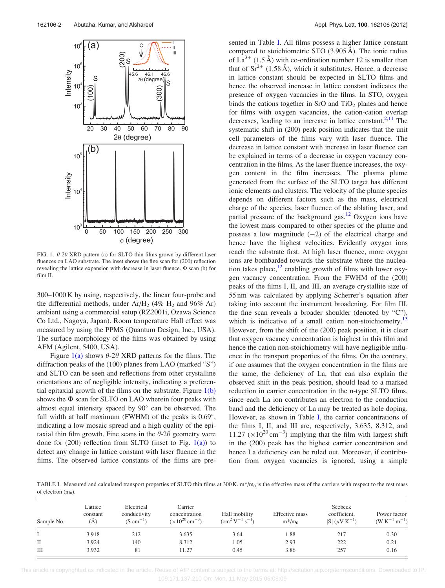<span id="page-2-0"></span>

FIG. 1.  $\theta$ -2 $\theta$  XRD pattern (a) for SLTO thin films grown by different laser fluences on LAO substrate. The inset shows the fine scan for (200) reflection revealing the lattice expansion with decrease in laser fluence.  $\Phi$  scan (b) for film II.

300–1000 K by using, respectively, the linear four-probe and the differential methods, under  $Ar/H_2$  (4%  $H_2$  and 96% Ar) ambient using a commercial setup (RZ2001i, Ozawa Science Co Ltd., Nagoya, Japan). Room temperature Hall effect was measured by using the PPMS (Quantum Design, Inc., USA). The surface morphology of the films was obtained by using AFM (Agilent, 5400, USA).

Figure  $1(a)$  shows  $\theta$ -2 $\theta$  XRD patterns for the films. The diffraction peaks of the (100) planes from LAO (marked "S") and SLTO can be seen and reflections from other crystalline orientations are of negligible intensity, indicating a preferential epitaxial growth of the films on the substrate. Figure  $1(b)$ shows the  $\Phi$  scan for SLTO on LAO wherein four peaks with almost equal intensity spaced by  $90^\circ$  can be observed. The full width at half maximum (FWHM) of the peaks is  $0.69^{\circ}$ , indicating a low mosaic spread and a high quality of the epitaxial thin film growth. Fine scans in the  $\theta$ -2 $\theta$  geometry were done for  $(200)$  reflection from SLTO (inset to Fig.  $1(a)$ ) to detect any change in lattice constant with laser fluence in the films. The observed lattice constants of the films are presented in Table I. All films possess a higher lattice constant compared to stoichiometric STO  $(3.905 \text{ Å})$ . The ionic radius of  $La^{3+}$  (1.5 Å) with co-ordination number 12 is smaller than that of  $Sr^{2+}$  (1.58 Å), which it substitutes. Hence, a decrease in lattice constant should be expected in SLTO films and hence the observed increase in lattice constant indicates the presence of oxygen vacancies in the films. In STO, oxygen binds the cations together in SrO and  $TiO<sub>2</sub>$  planes and hence for films with oxygen vacancies, the cation-cation overlap decreases, leading to an increase in lattice constant. $2,11$  The systematic shift in (200) peak position indicates that the unit cell parameters of the films vary with laser fluence. The decrease in lattice constant with increase in laser fluence can be explained in terms of a decrease in oxygen vacancy concentration in the films. As the laser fluence increases, the oxygen content in the film increases. The plasma plume generated from the surface of the SLTO target has different ionic elements and clusters. The velocity of the plume species depends on different factors such as the mass, electrical charge of the species, laser fluence of the ablating laser, and partial pressure of the background gas. $^{12}$  Oxygen ions have the lowest mass compared to other species of the plume and possess a low magnitude  $(-2)$  of the electrical charge and hence have the highest velocities. Evidently oxygen ions reach the substrate first. At high laser fluence, more oxygen ions are bombarded towards the substrate where the nucleation takes place, $12$  enabling growth of films with lower oxygen vacancy concentration. From the FWHM of the (200) peaks of the films I, II, and III, an average crystallite size of 55 nm was calculated by applying Scherrer's equation after taking into account the instrument broadening. For film III, the fine scan reveals a broader shoulder (denoted by "C"), which is indicative of a small cation non-stoichiometry.<sup>[13](#page-4-0)</sup> However, from the shift of the (200) peak position, it is clear that oxygen vacancy concentration is highest in this film and hence the cation non-stoichiometry will have negligible influence in the transport properties of the films. On the contrary, if one assumes that the oxygen concentration in the films are the same, the deficiency of La, that can also explain the observed shift in the peak position, should lead to a marked reduction in carrier concentration in the n-type SLTO films, since each La ion contributes an electron to the conduction band and the deficiency of La may be treated as hole doping. However, as shown in Table I, the carrier concentrations of the films I, II, and III are, respectively, 3.635, 8.312, and 11.27 ( $\times$ 10<sup>20</sup> cm<sup>-3</sup>) implying that the film with largest shift in the (200) peak has the highest carrier concentration and hence La deficiency can be ruled out. Moreover, if contribution from oxygen vacancies is ignored, using a simple

TABLE I. Measured and calculated transport properties of SLTO thin films at 300 K.  $m*/m_0$  is the effective mass of the carriers with respect to the rest mass of electron  $(m_0)$ .

| Sample No.           | Lattice<br>constant<br>(A) | Electrical<br>conductivity<br>$(S \text{ cm}^{-1})$ | Carrier<br>concentration<br>$(\times 10^{20} \text{ cm}^{-3})$ | Hall mobility<br>$\rm (cm^2 V^{-1} s^{-1})$ | Effective mass<br>$m^*/m_0$ | Seebeck<br>coefficient,<br>$ S  (\mu V K^{-1})$ | Power factor<br>$(W K^{-1} m^{-1})$ |
|----------------------|----------------------------|-----------------------------------------------------|----------------------------------------------------------------|---------------------------------------------|-----------------------------|-------------------------------------------------|-------------------------------------|
|                      | 3.918                      | 212                                                 | 3.635                                                          | 3.64                                        | 1.88                        | 217                                             | 0.30                                |
| $\scriptstyle\rm II$ | 3.924                      | 140                                                 | 8.312                                                          | 1.05                                        | 2.93                        | 222                                             | 0.21                                |
| Ш                    | 3.932                      | 81                                                  | 11.27                                                          | 0.45                                        | 3.86                        | 257                                             | 0.16                                |

 This article is copyrighted as indicated in the article. Reuse of AIP content is subject to the terms at: http://scitation.aip.org/termsconditions. Downloaded to IP: 109.171.137.210 On: Mon, 11 May 2015 06:08:09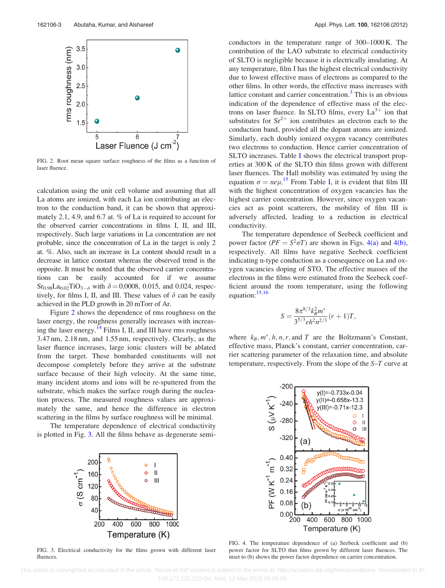<span id="page-3-0"></span>

FIG. 2. Root mean square surface roughness of the films as a function of laser fluence.

calculation using the unit cell volume and assuming that all La atoms are ionized, with each La ion contributing an electron to the conduction band, it can be shown that approximately 2.1, 4.9, and 6.7 at. % of La is required to account for the observed carrier concentrations in films I, II, and III, respectively. Such large variations in La concentration are not probable, since the concentration of La in the target is only 2 at. %. Also, such an increase in La content should result in a decrease in lattice constant whereas the observed trend is the opposite. It must be noted that the observed carrier concentrations can be easily accounted for if we assume  $Sr_{0.98}La_{0.02}TiO_{3-\delta}$  with  $\delta = 0.0008, 0.015$ , and 0.024, respectively, for films I, II, and III. These values of  $\delta$  can be easily achieved in the PLD growth in 20 mTorr of Ar.

Figure 2 shows the dependence of rms roughness on the laser energy, the roughness generally increases with increasing the laser energy. $<sup>14</sup>$  $<sup>14</sup>$  $<sup>14</sup>$  Films I, II, and III have rms roughness</sup> 3.47 nm, 2.18 nm, and 1.55 nm, respectively. Clearly, as the laser fluence increases, large ionic clusters will be ablated from the target. These bombarded constituents will not decompose completely before they arrive at the substrate surface because of their high velocity. At the same time, many incident atoms and ions will be re-sputtered from the substrate, which makes the surface rough during the nucleation process. The measured roughness values are approximately the same, and hence the difference in electron scattering in the films by surface roughness will be minimal.

The temperature dependence of electrical conductivity is plotted in Fig. 3. All the films behave as degenerate semi-



FIG. 3. Electrical conductivity for the films grown with different laser fluences.

conductors in the temperature range of 300–1000 K. The contribution of the LAO substrate to electrical conductivity of SLTO is negligible because it is electrically insulating. At any temperature, film I has the highest electrical conductivity due to lowest effective mass of electrons as compared to the other films. In other words, the effective mass increases with lattice constant and carrier concentration. $3$  This is an obvious indication of the dependence of effective mass of the electrons on laser fluence. In SLTO films, every  $La^{3+}$  ion that substitutes for  $Sr^{2+}$  ion contributes an electron each to the conduction band, provided all the dopant atoms are ionized. Similarly, each doubly ionized oxygen vacancy contributes two electrons to conduction. Hence carrier concentration of SLTO increases. Table [I](#page-2-0) shows the electrical transport properties at 300 K of the SLTO thin films grown with different laser fluences. The Hall mobility was estimated by using the equation  $\sigma = ne\mu$ .<sup>[15](#page-4-0)</sup> From Table [I,](#page-2-0) it is evident that film III with the highest concentration of oxygen vacancies has the highest carrier concentration. However, since oxygen vacancies act as point scatterers, the mobility of film III is adversely affected, leading to a reduction in electrical conductivity.

The temperature dependence of Seebeck coefficient and power factor ( $PF = S^2 \sigma T$ ) are shown in Figs. 4(a) and 4(b), respectively. All films have negative Seebeck coefficient indicating n-type conduction as a consequence on La and oxygen vacancies doping of STO. The effective masses of the electrons in the films were estimated from the Seebeck coefficient around the room temperature, using the following equation: $15,16$ 

$$
S = \frac{8\pi^{8/3}k_B^2m^*}{3^{5/3}eh^2n^{2/3}}(r+1)T,
$$

where  $k_B$ ,  $m^*$ ,  $h$ ,  $n$ ,  $r$ , and  $T$  are the Boltzmann's Constant, effective mass, Planck's constant, carrier concentration, carrier scattering parameter of the relaxation time, and absolute temperature, respectively. From the slope of the S–T curve at



FIG. 4. The temperature dependence of (a) Seebeck coefficient and (b) power factor for SLTO thin films grown by different laser fluences. The inset to (b) shows the power factor dependence on carrier concentration.

 This article is copyrighted as indicated in the article. Reuse of AIP content is subject to the terms at: http://scitation.aip.org/termsconditions. Downloaded to IP: 109.171.137.210 On: Mon, 11 May 2015 06:08:09